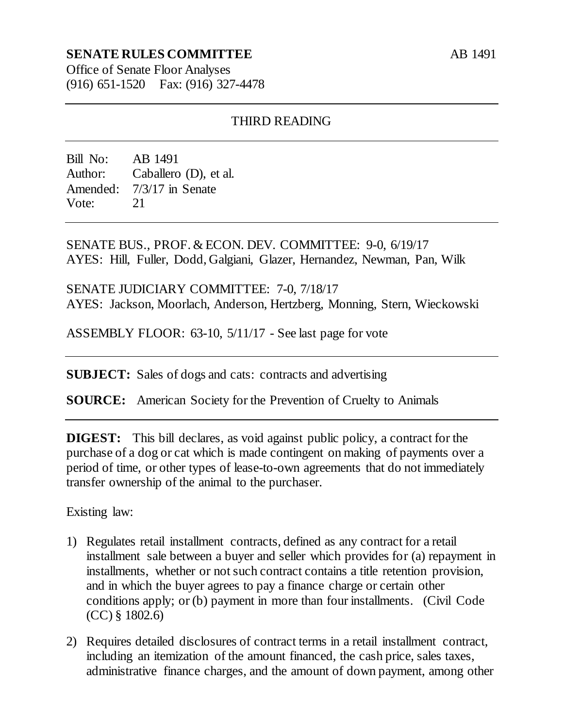## **SENATE RULES COMMITTEE**

AB 1491

Office of Senate Floor Analyses (916) 651-1520 Fax: (916) 327-4478

## THIRD READING

Bill No: AB 1491 Author: Caballero (D), et al. Amended: 7/3/17 in Senate Vote: 21

SENATE BUS., PROF. & ECON. DEV. COMMITTEE: 9-0, 6/19/17 AYES: Hill, Fuller, Dodd, Galgiani, Glazer, Hernandez, Newman, Pan, Wilk

SENATE JUDICIARY COMMITTEE: 7-0, 7/18/17 AYES: Jackson, Moorlach, Anderson, Hertzberg, Monning, Stern, Wieckowski

ASSEMBLY FLOOR: 63-10, 5/11/17 - See last page for vote

**SUBJECT:** Sales of dogs and cats: contracts and advertising

**SOURCE:** American Society for the Prevention of Cruelty to Animals

**DIGEST:** This bill declares, as void against public policy, a contract for the purchase of a dog or cat which is made contingent on making of payments over a period of time, or other types of lease-to-own agreements that do not immediately transfer ownership of the animal to the purchaser.

Existing law:

- 1) Regulates retail installment contracts, defined as any contract for a retail installment sale between a buyer and seller which provides for (a) repayment in installments, whether or not such contract contains a title retention provision, and in which the buyer agrees to pay a finance charge or certain other conditions apply; or (b) payment in more than four installments. (Civil Code (CC) § 1802.6)
- 2) Requires detailed disclosures of contract terms in a retail installment contract, including an itemization of the amount financed, the cash price, sales taxes, administrative finance charges, and the amount of down payment, among other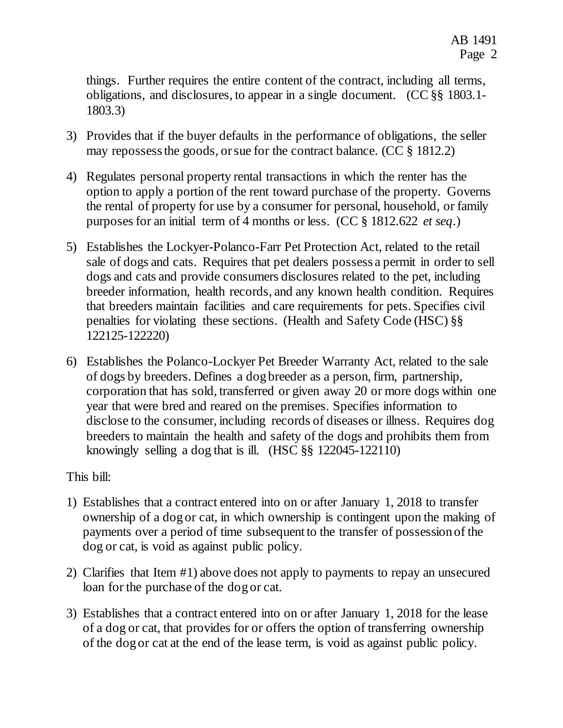things. Further requires the entire content of the contract, including all terms, obligations, and disclosures, to appear in a single document. (CC §§ 1803.1- 1803.3)

- 3) Provides that if the buyer defaults in the performance of obligations, the seller may repossess the goods, or sue for the contract balance. (CC § 1812.2)
- 4) Regulates personal property rental transactions in which the renter has the option to apply a portion of the rent toward purchase of the property. Governs the rental of property for use by a consumer for personal, household, or family purposes for an initial term of 4 months or less. (CC § 1812.622 *et seq*.)
- 5) Establishes the Lockyer-Polanco-Farr Pet Protection Act, related to the retail sale of dogs and cats. Requires that pet dealers possess a permit in order to sell dogs and cats and provide consumers disclosures related to the pet, including breeder information, health records, and any known health condition. Requires that breeders maintain facilities and care requirements for pets. Specifies civil penalties for violating these sections. (Health and Safety Code (HSC) §§ 122125-122220)
- 6) Establishes the Polanco-Lockyer Pet Breeder Warranty Act, related to the sale of dogs by breeders. Defines a dog breeder as a person, firm, partnership, corporation that has sold, transferred or given away 20 or more dogs within one year that were bred and reared on the premises. Specifies information to disclose to the consumer, including records of diseases or illness. Requires dog breeders to maintain the health and safety of the dogs and prohibits them from knowingly selling a dog that is ill. (HSC §§ 122045-122110)

This bill:

- 1) Establishes that a contract entered into on or after January 1, 2018 to transfer ownership of a dog or cat, in which ownership is contingent upon the making of payments over a period of time subsequent to the transfer of possession of the dog or cat, is void as against public policy.
- 2) Clarifies that Item #1) above does not apply to payments to repay an unsecured loan for the purchase of the dog or cat.
- 3) Establishes that a contract entered into on or after January 1, 2018 for the lease of a dog or cat, that provides for or offers the option of transferring ownership of the dog or cat at the end of the lease term, is void as against public policy.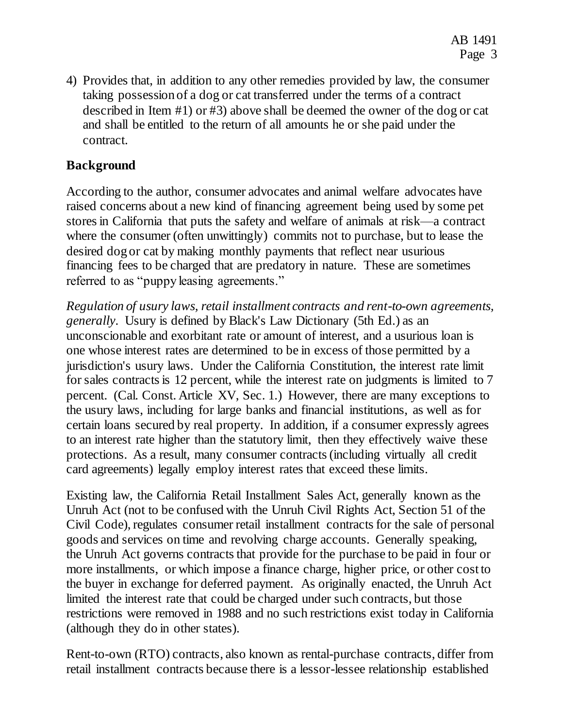4) Provides that, in addition to any other remedies provided by law, the consumer taking possession of a dog or cat transferred under the terms of a contract described in Item #1) or #3) above shall be deemed the owner of the dog or cat and shall be entitled to the return of all amounts he or she paid under the contract.

## **Background**

According to the author, consumer advocates and animal welfare advocates have raised concerns about a new kind of financing agreement being used by some pet stores in California that puts the safety and welfare of animals at risk—a contract where the consumer (often unwittingly) commits not to purchase, but to lease the desired dog or cat by making monthly payments that reflect near usurious financing fees to be charged that are predatory in nature. These are sometimes referred to as "puppy leasing agreements."

*Regulation of usury laws, retail installment contracts and rent-to-own agreements, generally*. Usury is defined by Black's Law Dictionary (5th Ed.) as an unconscionable and exorbitant rate or amount of interest, and a usurious loan is one whose interest rates are determined to be in excess of those permitted by a jurisdiction's usury laws. Under the California Constitution, the interest rate limit for sales contracts is 12 percent, while the interest rate on judgments is limited to 7 percent. (Cal. Const. Article XV, Sec. 1.) However, there are many exceptions to the usury laws, including for large banks and financial institutions, as well as for certain loans secured by real property. In addition, if a consumer expressly agrees to an interest rate higher than the statutory limit, then they effectively waive these protections. As a result, many consumer contracts (including virtually all credit card agreements) legally employ interest rates that exceed these limits.

Existing law, the California Retail Installment Sales Act, generally known as the Unruh Act (not to be confused with the Unruh Civil Rights Act, Section 51 of the Civil Code), regulates consumer retail installment contracts for the sale of personal goods and services on time and revolving charge accounts. Generally speaking, the Unruh Act governs contracts that provide for the purchase to be paid in four or more installments, or which impose a finance charge, higher price, or other cost to the buyer in exchange for deferred payment. As originally enacted, the Unruh Act limited the interest rate that could be charged under such contracts, but those restrictions were removed in 1988 and no such restrictions exist today in California (although they do in other states).

Rent-to-own (RTO) contracts, also known as rental-purchase contracts, differ from retail installment contracts because there is a lessor-lessee relationship established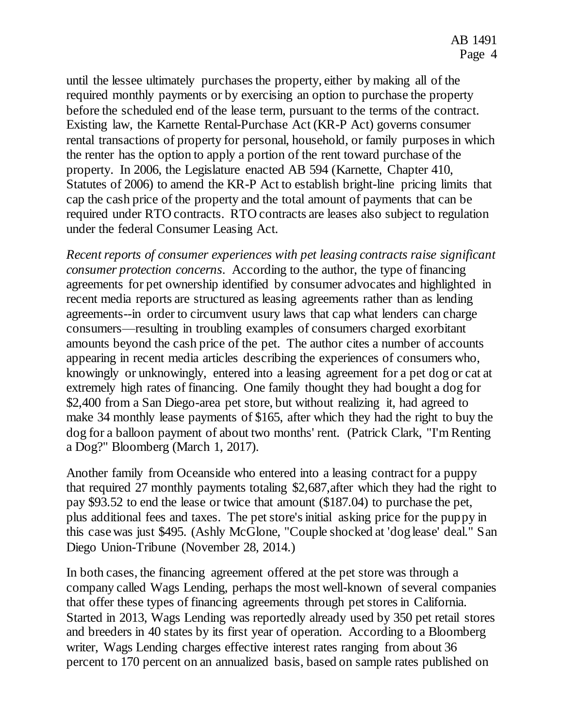until the lessee ultimately purchases the property, either by making all of the required monthly payments or by exercising an option to purchase the property before the scheduled end of the lease term, pursuant to the terms of the contract. Existing law, the Karnette Rental-Purchase Act (KR-P Act) governs consumer rental transactions of property for personal, household, or family purposes in which the renter has the option to apply a portion of the rent toward purchase of the property. In 2006, the Legislature enacted AB 594 (Karnette, Chapter 410, Statutes of 2006) to amend the KR-P Act to establish bright-line pricing limits that cap the cash price of the property and the total amount of payments that can be required under RTO contracts. RTO contracts are leases also subject to regulation under the federal Consumer Leasing Act.

*Recent reports of consumer experiences with pet leasing contracts raise significant consumer protection concerns*. According to the author, the type of financing agreements for pet ownership identified by consumer advocates and highlighted in recent media reports are structured as leasing agreements rather than as lending agreements--in order to circumvent usury laws that cap what lenders can charge consumers—resulting in troubling examples of consumers charged exorbitant amounts beyond the cash price of the pet. The author cites a number of accounts appearing in recent media articles describing the experiences of consumers who, knowingly or unknowingly, entered into a leasing agreement for a pet dog or cat at extremely high rates of financing. One family thought they had bought a dog for \$2,400 from a San Diego-area pet store, but without realizing it, had agreed to make 34 monthly lease payments of \$165, after which they had the right to buy the dog for a balloon payment of about two months' rent. (Patrick Clark, "I'm Renting a Dog?" Bloomberg (March 1, 2017).

Another family from Oceanside who entered into a leasing contract for a puppy that required 27 monthly payments totaling \$2,687,after which they had the right to pay \$93.52 to end the lease or twice that amount (\$187.04) to purchase the pet, plus additional fees and taxes. The pet store's initial asking price for the puppy in this case was just \$495. (Ashly McGlone, "Couple shocked at 'dog lease' deal." San Diego Union-Tribune (November 28, 2014.)

In both cases, the financing agreement offered at the pet store was through a company called Wags Lending, perhaps the most well-known of several companies that offer these types of financing agreements through pet stores in California. Started in 2013, Wags Lending was reportedly already used by 350 pet retail stores and breeders in 40 states by its first year of operation. According to a Bloomberg writer, Wags Lending charges effective interest rates ranging from about 36 percent to 170 percent on an annualized basis, based on sample rates published on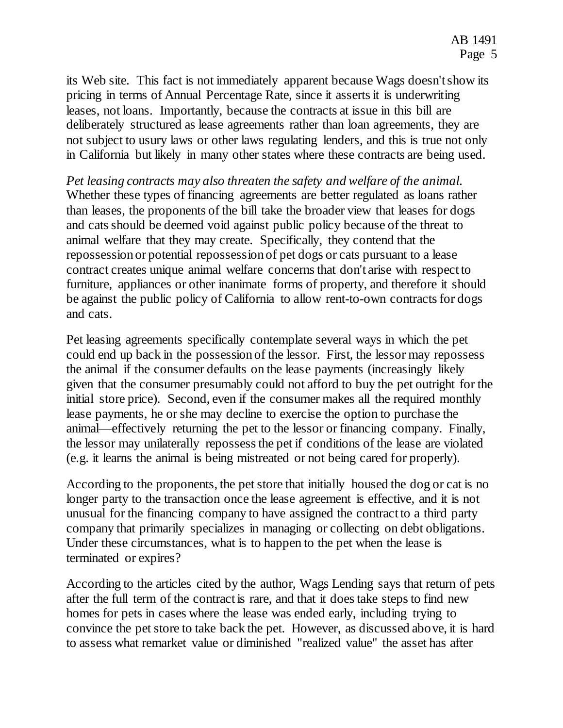its Web site. This fact is not immediately apparent because Wags doesn't show its pricing in terms of Annual Percentage Rate, since it asserts it is underwriting leases, not loans. Importantly, because the contracts at issue in this bill are deliberately structured as lease agreements rather than loan agreements, they are not subject to usury laws or other laws regulating lenders, and this is true not only in California but likely in many other states where these contracts are being used.

*Pet leasing contracts may also threaten the safety and welfare of the animal.*  Whether these types of financing agreements are better regulated as loans rather than leases, the proponents of the bill take the broader view that leases for dogs and cats should be deemed void against public policy because of the threat to animal welfare that they may create. Specifically, they contend that the repossession or potential repossession of pet dogs or cats pursuant to a lease contract creates unique animal welfare concerns that don't arise with respect to furniture, appliances or other inanimate forms of property, and therefore it should be against the public policy of California to allow rent-to-own contracts for dogs and cats.

Pet leasing agreements specifically contemplate several ways in which the pet could end up back in the possession of the lessor. First, the lessor may repossess the animal if the consumer defaults on the lease payments (increasingly likely given that the consumer presumably could not afford to buy the pet outright for the initial store price). Second, even if the consumer makes all the required monthly lease payments, he or she may decline to exercise the option to purchase the animal—effectively returning the pet to the lessor or financing company. Finally, the lessor may unilaterally repossess the pet if conditions of the lease are violated (e.g. it learns the animal is being mistreated or not being cared for properly).

According to the proponents, the pet store that initially housed the dog or cat is no longer party to the transaction once the lease agreement is effective, and it is not unusual for the financing company to have assigned the contract to a third party company that primarily specializes in managing or collecting on debt obligations. Under these circumstances, what is to happen to the pet when the lease is terminated or expires?

According to the articles cited by the author, Wags Lending says that return of pets after the full term of the contract is rare, and that it does take steps to find new homes for pets in cases where the lease was ended early, including trying to convince the pet store to take back the pet. However, as discussed above, it is hard to assess what remarket value or diminished "realized value" the asset has after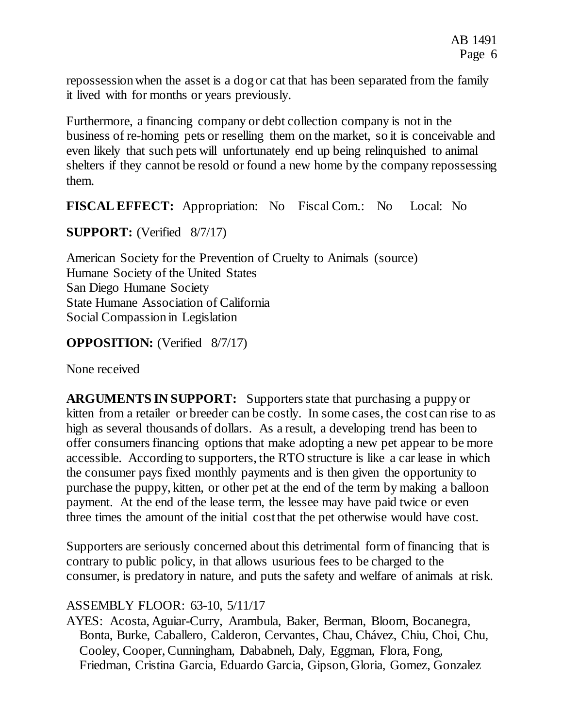repossession when the asset is a dog or cat that has been separated from the family it lived with for months or years previously.

Furthermore, a financing company or debt collection company is not in the business of re-homing pets or reselling them on the market, so it is conceivable and even likely that such pets will unfortunately end up being relinquished to animal shelters if they cannot be resold or found a new home by the company repossessing them.

**FISCAL EFFECT:** Appropriation: No Fiscal Com.: No Local: No

**SUPPORT:** (Verified 8/7/17)

American Society for the Prevention of Cruelty to Animals (source) Humane Society of the United States San Diego Humane Society State Humane Association of California Social Compassion in Legislation

**OPPOSITION:** (Verified 8/7/17)

None received

**ARGUMENTS IN SUPPORT:** Supporters state that purchasing a puppy or kitten from a retailer or breeder can be costly. In some cases, the cost can rise to as high as several thousands of dollars. As a result, a developing trend has been to offer consumers financing options that make adopting a new pet appear to be more accessible. According to supporters, the RTO structure is like a car lease in which the consumer pays fixed monthly payments and is then given the opportunity to purchase the puppy, kitten, or other pet at the end of the term by making a balloon payment. At the end of the lease term, the lessee may have paid twice or even three times the amount of the initial cost that the pet otherwise would have cost.

Supporters are seriously concerned about this detrimental form of financing that is contrary to public policy, in that allows usurious fees to be charged to the consumer, is predatory in nature, and puts the safety and welfare of animals at risk.

## ASSEMBLY FLOOR: 63-10, 5/11/17

AYES: Acosta, Aguiar-Curry, Arambula, Baker, Berman, Bloom, Bocanegra, Bonta, Burke, Caballero, Calderon, Cervantes, Chau, Chávez, Chiu, Choi, Chu, Cooley, Cooper, Cunningham, Dababneh, Daly, Eggman, Flora, Fong, Friedman, Cristina Garcia, Eduardo Garcia, Gipson, Gloria, Gomez, Gonzalez